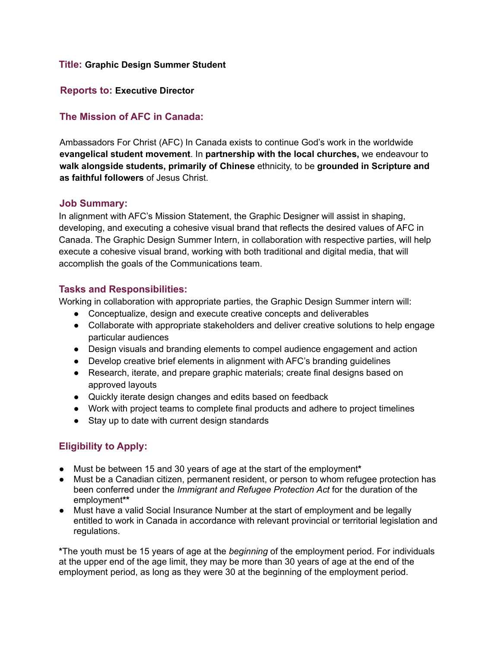#### **Title: Graphic Design Summer Student**

### **Reports to: Executive Director**

## **The Mission of AFC in Canada:**

Ambassadors For Christ (AFC) In Canada exists to continue God's work in the worldwide **evangelical student movement**. In **partnership with the local churches,** we endeavour to **walk alongside students, primarily of Chinese** ethnicity, to be **grounded in Scripture and as faithful followers** of Jesus Christ.

#### **Job Summary:**

In alignment with AFC's Mission Statement, the Graphic Designer will assist in shaping, developing, and executing a cohesive visual brand that reflects the desired values of AFC in Canada. The Graphic Design Summer Intern, in collaboration with respective parties, will help execute a cohesive visual brand, working with both traditional and digital media, that will accomplish the goals of the Communications team.

## **Tasks and Responsibilities:**

Working in collaboration with appropriate parties, the Graphic Design Summer intern will:

- Conceptualize, design and execute creative concepts and deliverables
- Collaborate with appropriate stakeholders and deliver creative solutions to help engage particular audiences
- Design visuals and branding elements to compel audience engagement and action
- Develop creative brief elements in alignment with AFC's branding guidelines
- Research, iterate, and prepare graphic materials; create final designs based on approved layouts
- Quickly iterate design changes and edits based on feedback
- Work with project teams to complete final products and adhere to project timelines
- Stay up to date with current design standards

# **Eligibility to Apply:**

- Must be between 15 and 30 years of age at the start of the employment**\***
- Must be a Canadian citizen, permanent resident, or person to whom refugee protection has been conferred under the *Immigrant and Refugee Protection Act* for the duration of the employment**\*\***
- Must have a valid Social Insurance Number at the start of employment and be legally entitled to work in Canada in accordance with relevant provincial or territorial legislation and regulations.

**\***The youth must be 15 years of age at the *beginning* of the employment period. For individuals at the upper end of the age limit, they may be more than 30 years of age at the end of the employment period, as long as they were 30 at the beginning of the employment period.